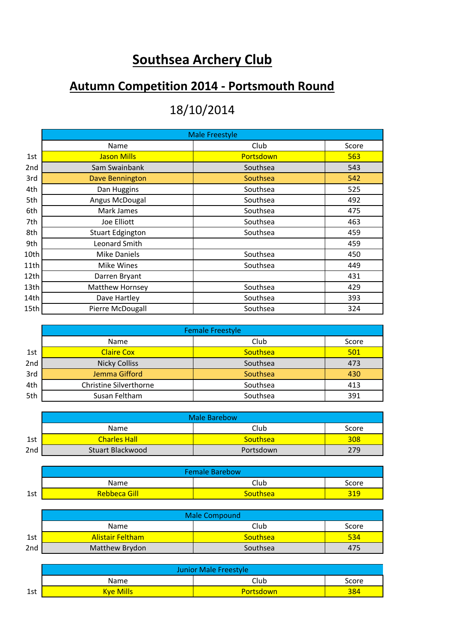## **Southsea Archery Club**

## **Autumn Competition 2014 - Portsmouth Round**

## 18/10/2014

|                 | <b>Male Freestyle</b>   |           |       |  |
|-----------------|-------------------------|-----------|-------|--|
|                 | Name                    | Club      | Score |  |
| 1st             | <b>Jason Mills</b>      | Portsdown | 563   |  |
| 2 <sub>nd</sub> | Sam Swainbank           | Southsea  | 543   |  |
| 3rd             | Dave Bennington         | Southsea  | 542   |  |
| 4th             | Dan Huggins             | Southsea  | 525   |  |
| 5th             | Angus McDougal          | Southsea  | 492   |  |
| 6th             | Mark James              | Southsea  | 475   |  |
| 7th             | Joe Elliott             | Southsea  | 463   |  |
| 8th             | <b>Stuart Edgington</b> | Southsea  | 459   |  |
| 9th             | Leonard Smith           |           | 459   |  |
| 10th            | Mike Daniels            | Southsea  | 450   |  |
| 11th            | Mike Wines              | Southsea  | 449   |  |
| 12th            | Darren Bryant           |           | 431   |  |
| 13th            | Matthew Hornsey         | Southsea  | 429   |  |
| 14th            | Dave Hartley            | Southsea  | 393   |  |
| 15th            | Pierre McDougall        | Southsea  | 324   |  |

|                 | <b>Female Freestyle</b> |                 |       |
|-----------------|-------------------------|-----------------|-------|
|                 | Name                    | Club            | Score |
| 1st             | <b>Claire Cox</b>       | <b>Southsea</b> | 501   |
| 2 <sub>nd</sub> | <b>Nicky Colliss</b>    | Southsea        | 473   |
| 3rd             | Jemma Gifford           | Southsea        | 430   |
| 4th             | Christine Silverthorne  | Southsea        | 413   |
| 5th             | Susan Feltham           | Southsea        | 391   |

|     | Male Barebow        |                 |       |
|-----|---------------------|-----------------|-------|
|     | Name                | Club            | Score |
| 1st | <b>Charles Hall</b> | <b>Southsea</b> | 308   |
| 2nd | Stuart Blackwood    | Portsdown       | 279   |

|     | <b>Female Barebow</b> |          |       |
|-----|-----------------------|----------|-------|
|     | Name                  | ∩ub      | Score |
| 1st | <b>Rebbeca Gill</b>   | Southsea | 21 Q  |

|                 | <b>Male Compound</b>    |                 |       |
|-----------------|-------------------------|-----------------|-------|
|                 | Name                    | Club            | Score |
| 1st             | <b>Alistair Feltham</b> | <b>Southsea</b> | 534   |
| 2 <sub>nd</sub> | Matthew Brydon          | Southsea        | 475   |

|     | <b>Junior Male Freestyle</b> |                  |       |
|-----|------------------------------|------------------|-------|
|     | Name                         | Club             | Score |
| 1st | <b>Kve Mills</b>             | <b>Portsdown</b> | 384   |